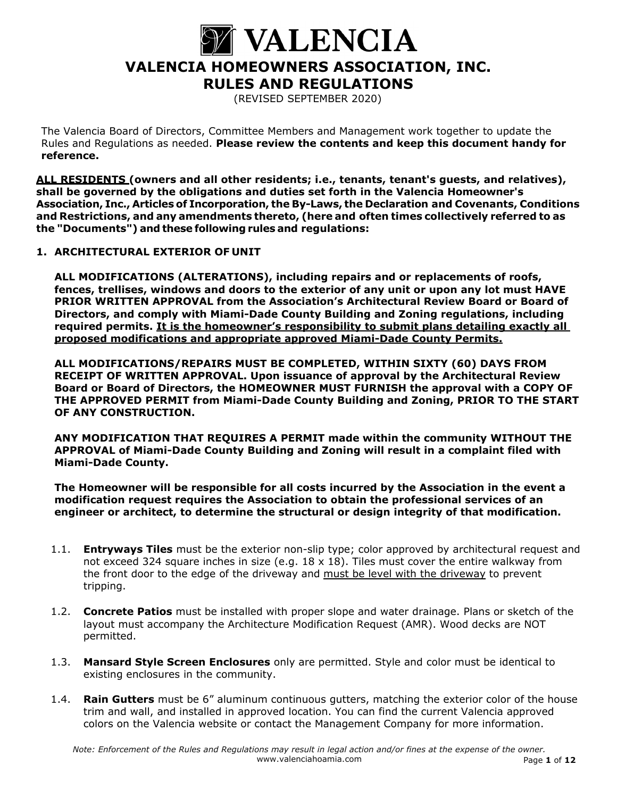

(REVISED SEPTEMBER 2020)

The Valencia Board of Directors, Committee Members and Management work together to update the Rules and Regulations as needed. **Please review the contents and keep this document handy for reference.** 

**ALL RESIDENTS (owners and all other residents; i.e., tenants, tenant's guests, and relatives), shall be governed by the obligations and duties set forth in the Valencia Homeowner's Association, Inc., Articles of Incorporation, the By-Laws, the Declaration and Covenants, Conditions and Restrictions, and any amendments thereto, (here and often times collectively referred to as the "Documents") and these following rules and regulations:** 

# **1. ARCHITECTURAL EXTERIOR OF UNIT**

**ALL MODIFICATIONS (ALTERATIONS), including repairs and or replacements of roofs, fences, trellises, windows and doors to the exterior of any unit or upon any lot must HAVE PRIOR WRITTEN APPROVAL from the Association's Architectural Review Board or Board of Directors, and comply with Miami-Dade County Building and Zoning regulations, including required permits. It is the homeowner's responsibility to submit plans detailing exactly all proposed modifications and appropriate approved Miami-Dade County Permits.** 

**ALL MODIFICATIONS/REPAIRS MUST BE COMPLETED, WITHIN SIXTY (60) DAYS FROM RECEIPT OF WRITTEN APPROVAL. Upon issuance of approval by the Architectural Review Board or Board of Directors, the HOMEOWNER MUST FURNISH the approval with a COPY OF THE APPROVED PERMIT from Miami-Dade County Building and Zoning, PRIOR TO THE START OF ANY CONSTRUCTION.** 

**ANY MODIFICATION THAT REQUIRES A PERMIT made within the community WITHOUT THE APPROVAL of Miami-Dade County Building and Zoning will result in a complaint filed with Miami-Dade County.** 

**The Homeowner will be responsible for all costs incurred by the Association in the event a modification request requires the Association to obtain the professional services of an engineer or architect, to determine the structural or design integrity of that modification.** 

- 1.1. **Entryways Tiles** must be the exterior non-slip type; color approved by architectural request and not exceed 324 square inches in size (e.g.  $18 \times 18$ ). Tiles must cover the entire walkway from the front door to the edge of the driveway and must be level with the driveway to prevent tripping.
- 1.2. **Concrete Patios** must be installed with proper slope and water drainage. Plans or sketch of the layout must accompany the Architecture Modification Request (AMR). Wood decks are NOT permitted.
- 1.3. **Mansard Style Screen Enclosures** only are permitted. Style and color must be identical to existing enclosures in the community.
- 1.4. **Rain Gutters** must be 6" aluminum continuous gutters, matching the exterior color of the house trim and wall, and installed in approved location. You can find the current Valencia approved colors on the Valencia website or contact the Management Company for more information.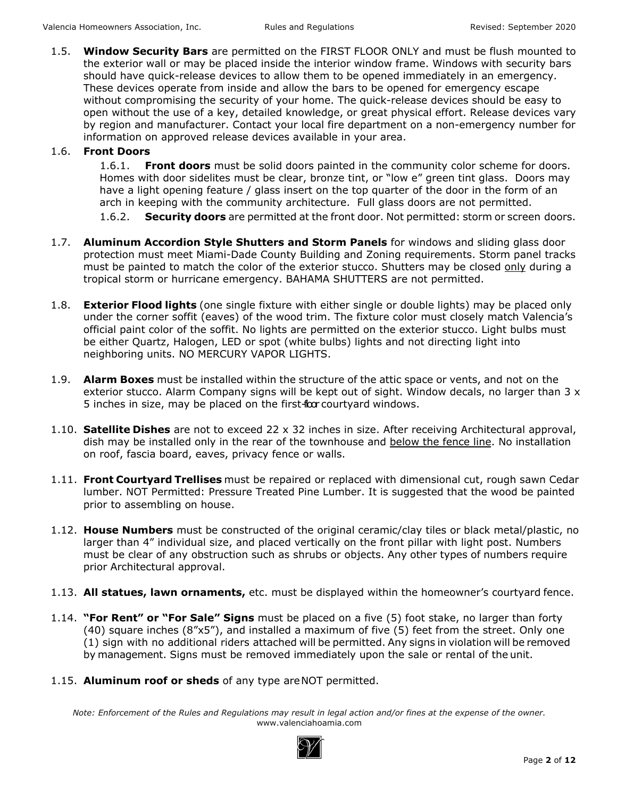1.5. **Window Security Bars** are permitted on the FIRST FLOOR ONLY and must be flush mounted to the exterior wall or may be placed inside the interior window frame. Windows with security bars should have quick-release devices to allow them to be opened immediately in an emergency. These devices operate from inside and allow the bars to be opened for emergency escape without compromising the security of your home. The quick-release devices should be easy to open without the use of a key, detailed knowledge, or great physical effort. Release devices vary by region and manufacturer. Contact your local fire department on a non-emergency number for information on approved release devices available in your area.

# 1.6. **Front Doors**

1.6.1. **Front doors** must be solid doors painted in the community color scheme for doors. Homes with door sidelites must be clear, bronze tint, or "low e" green tint glass. Doors may have a light opening feature / glass insert on the top quarter of the door in the form of an arch in keeping with the community architecture. Full glass doors are not permitted.

1.6.2. **Security doors** are permitted at the front door. Not permitted: storm or screen doors.

- 1.7. **Aluminum Accordion Style Shutters and Storm Panels** for windows and sliding glass door protection must meet Miami-Dade County Building and Zoning requirements. Storm panel tracks must be painted to match the color of the exterior stucco. Shutters may be closed only during a tropical storm or hurricane emergency. BAHAMA SHUTTERS are not permitted.
- 1.8. **Exterior Flood lights** (one single fixture with either single or double lights) may be placed only under the corner soffit (eaves) of the wood trim. The fixture color must closely match Valencia's official paint color of the soffit. No lights are permitted on the exterior stucco. Light bulbs must be either Quartz, Halogen, LED or spot (white bulbs) lights and not directing light into neighboring units. NO MERCURY VAPOR LIGHTS.
- 1.9. **Alarm Boxes** must be installed within the structure of the attic space or vents, and not on the exterior stucco. Alarm Company signs will be kept out of sight. Window decals, no larger than 3 x 5 inches in size, may be placed on the first-floor courtyard windows.
- 1.10. **Satellite Dishes** are not to exceed 22 x 32 inches in size. After receiving Architectural approval, dish may be installed only in the rear of the townhouse and below the fence line. No installation on roof, fascia board, eaves, privacy fence or walls.
- 1.11. **Front Courtyard Trellises** must be repaired or replaced with dimensional cut, rough sawn Cedar lumber. NOT Permitted: Pressure Treated Pine Lumber. It is suggested that the wood be painted prior to assembling on house.
- 1.12. **House Numbers** must be constructed of the original ceramic/clay tiles or black metal/plastic, no larger than 4" individual size, and placed vertically on the front pillar with light post. Numbers must be clear of any obstruction such as shrubs or objects. Any other types of numbers require prior Architectural approval.
- 1.13. **All statues, lawn ornaments,** etc. must be displayed within the homeowner's courtyard fence.
- 1.14. **"For Rent" or "For Sale" Signs** must be placed on a five (5) foot stake, no larger than forty (40) square inches (8"x5"), and installed a maximum of five (5) feet from the street. Only one (1) sign with no additional riders attached will be permitted. Any signs in violation will be removed by management. Signs must be removed immediately upon the sale or rental of the unit.
- 1.15. **Aluminum roof or sheds** of any type are NOT permitted.

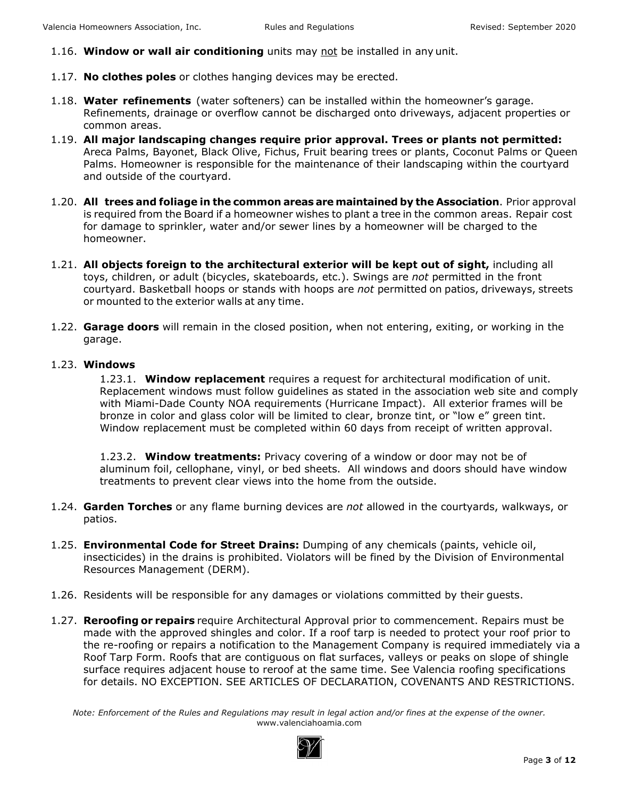- 1.16. **Window or wall air conditioning** units may not be installed in any unit.
- 1.17. **No clothes poles** or clothes hanging devices may be erected.
- 1.18. **Water refinements** (water softeners) can be installed within the homeowner's garage. Refinements, drainage or overflow cannot be discharged onto driveways, adjacent properties or common areas.
- 1.19. **All major landscaping changes require prior approval. Trees or plants not permitted:**  Areca Palms, Bayonet, Black Olive, Fichus, Fruit bearing trees or plants, Coconut Palms or Queen Palms. Homeowner is responsible for the maintenance of their landscaping within the courtyard and outside of the courtyard.
- 1.20. **All trees and foliage in the common areas are maintained by the Association**. Prior approval is required from the Board if a homeowner wishes to plant a tree in the common areas. Repair cost for damage to sprinkler, water and/or sewer lines by a homeowner will be charged to the homeowner.
- 1.21. **All objects foreign to the architectural exterior will be kept out of sight,** including all toys, children, or adult (bicycles, skateboards, etc.). Swings are *not* permitted in the front courtyard. Basketball hoops or stands with hoops are *not* permitted on patios, driveways, streets or mounted to the exterior walls at any time.
- 1.22. **Garage doors** will remain in the closed position, when not entering, exiting, or working in the garage.

#### 1.23. **Windows**

1.23.1. **Window replacement** requires a request for architectural modification of unit. Replacement windows must follow guidelines as stated in the association web site and comply with Miami-Dade County NOA requirements (Hurricane Impact). All exterior frames will be bronze in color and glass color will be limited to clear, bronze tint, or "low e" green tint. Window replacement must be completed within 60 days from receipt of written approval.

1.23.2. **Window treatments:** Privacy covering of a window or door may not be of aluminum foil, cellophane, vinyl, or bed sheets. All windows and doors should have window treatments to prevent clear views into the home from the outside.

- 1.24. **Garden Torches** or any flame burning devices are *not* allowed in the courtyards, walkways, or patios.
- 1.25. **Environmental Code for Street Drains:** Dumping of any chemicals (paints, vehicle oil, insecticides) in the drains is prohibited. Violators will be fined by the Division of Environmental Resources Management (DERM).
- 1.26. Residents will be responsible for any damages or violations committed by their guests.
- 1.27. **Reroofing or repairs** require Architectural Approval prior to commencement. Repairs must be made with the approved shingles and color. If a roof tarp is needed to protect your roof prior to the re-roofing or repairs a notification to the Management Company is required immediately via a Roof Tarp Form. Roofs that are contiguous on flat surfaces, valleys or peaks on slope of shingle surface requires adjacent house to reroof at the same time. See Valencia roofing specifications for details. NO EXCEPTION. SEE ARTICLES OF DECLARATION, COVENANTS AND RESTRICTIONS.

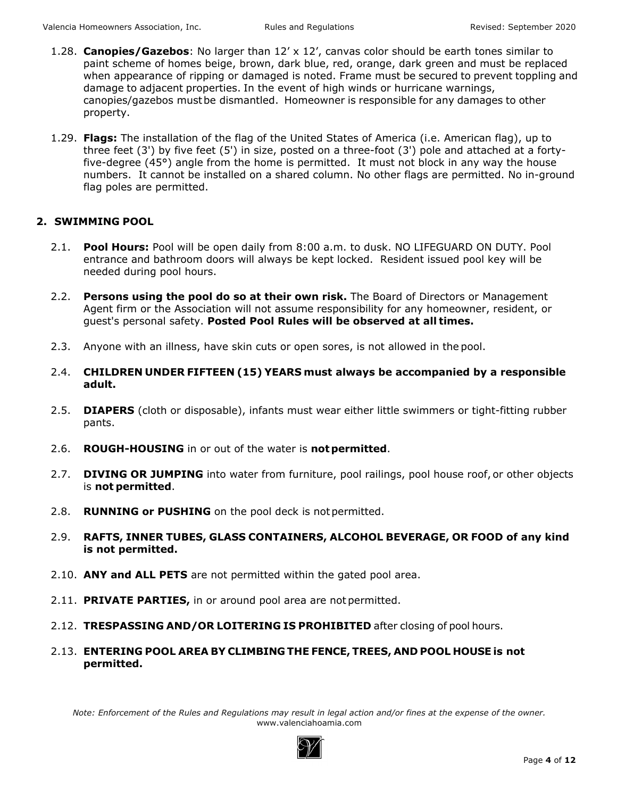- 1.28. **Canopies/Gazebos**: No larger than 12' x 12', canvas color should be earth tones similar to paint scheme of homes beige, brown, dark blue, red, orange, dark green and must be replaced when appearance of ripping or damaged is noted. Frame must be secured to prevent toppling and damage to adjacent properties. In the event of high winds or hurricane warnings, canopies/gazebos must be dismantled. Homeowner is responsible for any damages to other property.
- 1.29. **Flags:** The installation of the flag of the United States of America (i.e. American flag), up to three feet (3') by five feet (5') in size, posted on a three-foot (3') pole and attached at a fortyfive-degree (45°) angle from the home is permitted. It must not block in any way the house numbers. It cannot be installed on a shared column. No other flags are permitted. No in-ground flag poles are permitted.

# **2. SWIMMING POOL**

- 2.1. **Pool Hours:** Pool will be open daily from 8:00 a.m. to dusk. NO LIFEGUARD ON DUTY. Pool entrance and bathroom doors will always be kept locked. Resident issued pool key will be needed during pool hours.
- 2.2. **Persons using the pool do so at their own risk.** The Board of Directors or Management Agent firm or the Association will not assume responsibility for any homeowner, resident, or guest's personal safety. **Posted Pool Rules will be observed at all times.**
- 2.3. Anyone with an illness, have skin cuts or open sores, is not allowed in the pool.
- 2.4. **CHILDREN UNDER FIFTEEN (15) YEARS must always be accompanied by a responsible adult.**
- 2.5. **DIAPERS** (cloth or disposable), infants must wear either little swimmers or tight-fitting rubber pants.
- 2.6. **ROUGH-HOUSING** in or out of the water is **not permitted**.
- 2.7. **DIVING OR JUMPING** into water from furniture, pool railings, pool house roof, or other objects is **not permitted**.
- 2.8. **RUNNING or PUSHING** on the pool deck is not permitted.
- 2.9. **RAFTS, INNER TUBES, GLASS CONTAINERS, ALCOHOL BEVERAGE, OR FOOD of any kind is not permitted.**
- 2.10. **ANY and ALL PETS** are not permitted within the gated pool area.
- 2.11. **PRIVATE PARTIES,** in or around pool area are not permitted.
- 2.12. **TRESPASSING AND/OR LOITERING IS PROHIBITED** after closing of pool hours.
- 2.13. **ENTERING POOL AREA BY CLIMBING THE FENCE, TREES, AND POOL HOUSE is not permitted.**

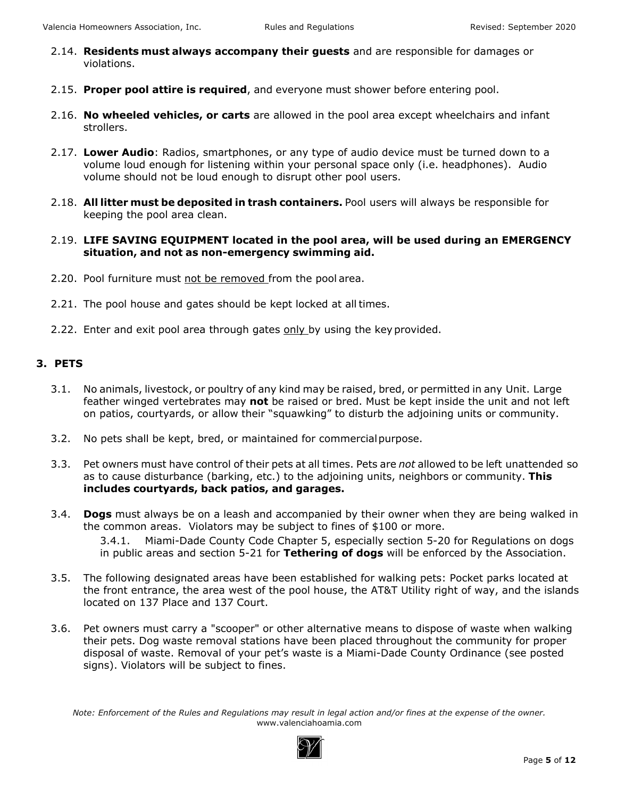- 2.14. **Residents must always accompany their guests** and are responsible for damages or violations.
- 2.15. **Proper pool attire is required**, and everyone must shower before entering pool.
- 2.16. **No wheeled vehicles, or carts** are allowed in the pool area except wheelchairs and infant strollers.
- 2.17. **Lower Audio**: Radios, smartphones, or any type of audio device must be turned down to a volume loud enough for listening within your personal space only (i.e. headphones). Audio volume should not be loud enough to disrupt other pool users.
- 2.18. **All litter must be deposited in trash containers.** Pool users will always be responsible for keeping the pool area clean.
- 2.19. **LIFE SAVING EQUIPMENT located in the pool area, will be used during an EMERGENCY situation, and not as non-emergency swimming aid.**
- 2.20. Pool furniture must not be removed from the pool area.
- 2.21. The pool house and gates should be kept locked at all times.
- 2.22. Enter and exit pool area through gates only by using the key provided.

# **3. PETS**

- 3.1. No animals, livestock, or poultry of any kind may be raised, bred, or permitted in any Unit. Large feather winged vertebrates may **not** be raised or bred. Must be kept inside the unit and not left on patios, courtyards, or allow their "squawking" to disturb the adjoining units or community.
- 3.2. No pets shall be kept, bred, or maintained for commercial purpose.
- 3.3. Pet owners must have control of their pets at all times. Pets are *not* allowed to be left unattended so as to cause disturbance (barking, etc.) to the adjoining units, neighbors or community. **This includes courtyards, back patios, and garages.**
- 3.4. **Dogs** must always be on a leash and accompanied by their owner when they are being walked in the common areas. Violators may be subject to fines of \$100 or more. 3.4.1. Miami-Dade County Code Chapter 5, especially section 5-20 for Regulations on dogs in public areas and section 5-21 for **Tethering of dogs** will be enforced by the Association.
- 3.5. The following designated areas have been established for walking pets: Pocket parks located at the front entrance, the area west of the pool house, the AT&T Utility right of way, and the islands located on 137 Place and 137 Court.
- 3.6. Pet owners must carry a "scooper" or other alternative means to dispose of waste when walking their pets. Dog waste removal stations have been placed throughout the community for proper disposal of waste. Removal of your pet's waste is a Miami-Dade County Ordinance (see posted signs). Violators will be subject to fines.

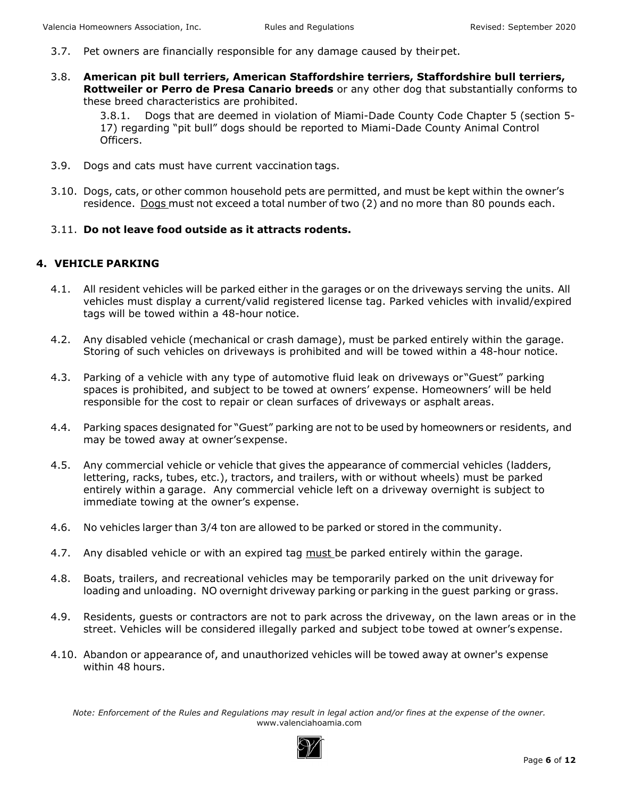- 3.7. Pet owners are financially responsible for any damage caused by their pet.
- 3.8. **American pit bull terriers, American Staffordshire terriers, Staffordshire bull terriers, Rottweiler or Perro de Presa Canario breeds** or any other dog that substantially conforms to these breed characteristics are prohibited.

3.8.1. Dogs that are deemed in violation of Miami-Dade County Code Chapter 5 (section 5- 17) regarding "pit bull" dogs should be reported to Miami-Dade County Animal Control Officers.

- 3.9. Dogs and cats must have current vaccination tags.
- 3.10. Dogs, cats, or other common household pets are permitted, and must be kept within the owner's residence. Dogs must not exceed a total number of two (2) and no more than 80 pounds each.

#### 3.11. **Do not leave food outside as it attracts rodents.**

# **4. VEHICLE PARKING**

- 4.1. All resident vehicles will be parked either in the garages or on the driveways serving the units. All vehicles must display a current/valid registered license tag. Parked vehicles with invalid/expired tags will be towed within a 48-hour notice.
- 4.2. Any disabled vehicle (mechanical or crash damage), must be parked entirely within the garage. Storing of such vehicles on driveways is prohibited and will be towed within a 48-hour notice.
- 4.3. Parking of a vehicle with any type of automotive fluid leak on driveways or "Guest" parking spaces is prohibited, and subject to be towed at owners' expense. Homeowners' will be held responsible for the cost to repair or clean surfaces of driveways or asphalt areas.
- 4.4. Parking spaces designated for "Guest" parking are not to be used by homeowners or residents, and may be towed away at owner's expense.
- 4.5. Any commercial vehicle or vehicle that gives the appearance of commercial vehicles (ladders, lettering, racks, tubes, etc.), tractors, and trailers, with or without wheels) must be parked entirely within a garage. Any commercial vehicle left on a driveway overnight is subject to immediate towing at the owner's expense.
- 4.6. No vehicles larger than 3/4 ton are allowed to be parked or stored in the community.
- 4.7. Any disabled vehicle or with an expired tag must be parked entirely within the garage.
- 4.8. Boats, trailers, and recreational vehicles may be temporarily parked on the unit driveway for loading and unloading. NO overnight driveway parking or parking in the guest parking or grass.
- 4.9. Residents, guests or contractors are not to park across the driveway, on the lawn areas or in the street. Vehicles will be considered illegally parked and subject to be towed at owner's expense.
- 4.10. Abandon or appearance of, and unauthorized vehicles will be towed away at owner's expense within 48 hours.

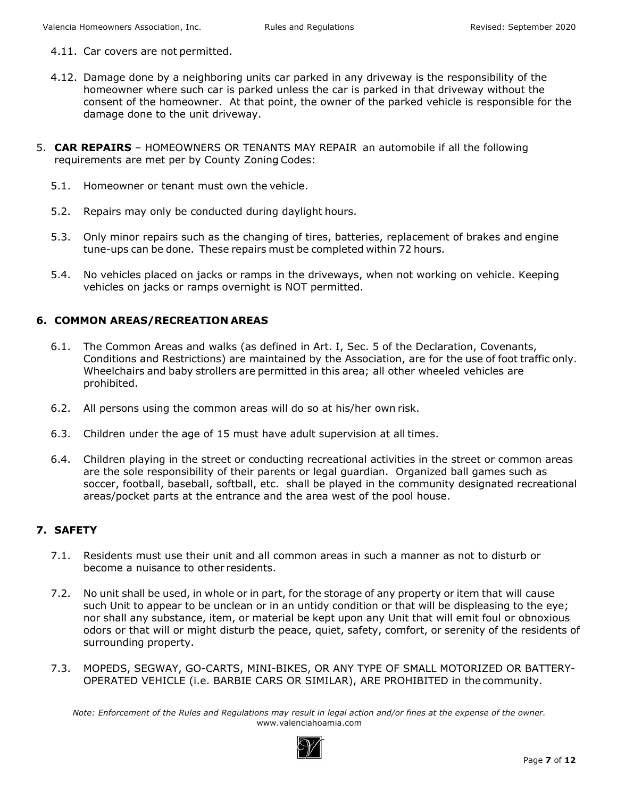- 4.11. Car covers are not permitted.
- 4.12. Damage done by a neighboring units car parked in any driveway is the responsibility of the homeowner where such car is parked unless the car is parked in that driveway without the consent of the homeowner. At that point, the owner of the parked vehicle is responsible for the damage done to the unit driveway.
- 5. **CAR REPAIRS** HOMEOWNERS OR TENANTS MAY REPAIR an automobile if all the following requirements are met per by County Zoning Codes:
	- 5.1. Homeowner or tenant must own the vehicle.
	- 5.2. Repairs may only be conducted during daylight hours.
	- 5.3. Only minor repairs such as the changing of tires, batteries, replacement of brakes and engine tune-ups can be done. These repairs must be completed within 72 hours.
	- 5.4. No vehicles placed on jacks or ramps in the driveways, when not working on vehicle. Keeping vehicles on jacks or ramps overnight is NOT permitted.

# **6. COMMON AREAS/RECREATION AREAS**

- 6.1. The Common Areas and walks (as defined in Art. I, Sec. 5 of the Declaration, Covenants, Conditions and Restrictions) are maintained by the Association, are for the use of foot traffic only. Wheelchairs and baby strollers are permitted in this area; all other wheeled vehicles are prohibited.
- 6.2. All persons using the common areas will do so at his/her own risk.
- 6.3. Children under the age of 15 must have adult supervision at all times.
- 6.4. Children playing in the street or conducting recreational activities in the street or common areas are the sole responsibility of their parents or legal guardian. Organized ball games such as soccer, football, baseball, softball, etc. shall be played in the community designated recreational areas/pocket parts at the entrance and the area west of the pool house.

# **7. SAFETY**

- 7.1. Residents must use their unit and all common areas in such a manner as not to disturb or become a nuisance to other residents.
- 7.2. No unit shall be used, in whole or in part, for the storage of any property or item that will cause such Unit to appear to be unclean or in an untidy condition or that will be displeasing to the eye; nor shall any substance, item, or material be kept upon any Unit that will emit foul or obnoxious odors or that will or might disturb the peace, quiet, safety, comfort, or serenity of the residents of surrounding property.
- 7.3. MOPEDS, SEGWAY, GO-CARTS, MINI-BIKES, OR ANY TYPE OF SMALL MOTORIZED OR BATTERY-OPERATED VEHICLE (i.e. BARBIE CARS OR SIMILAR), ARE PROHIBITED in the community.

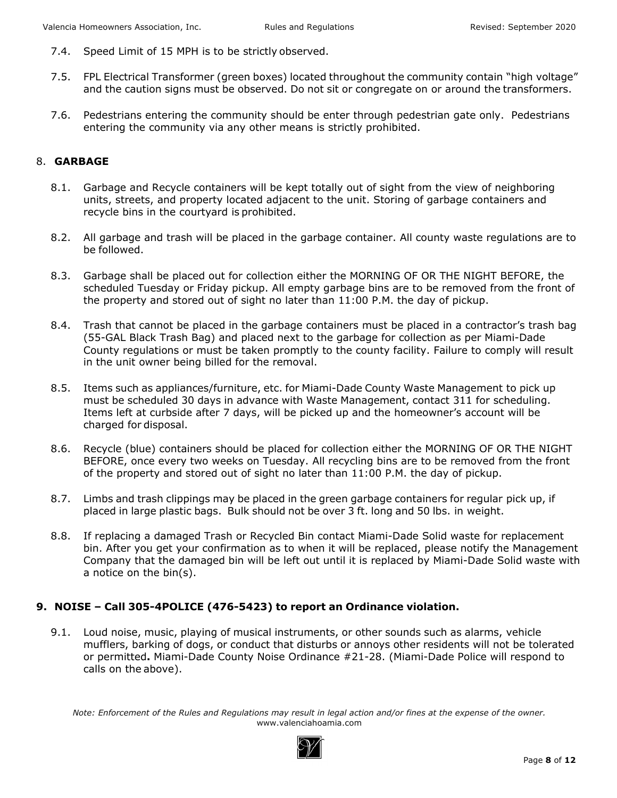- 7.4. Speed Limit of 15 MPH is to be strictly observed.
- 7.5. FPL Electrical Transformer (green boxes) located throughout the community contain "high voltage" and the caution signs must be observed. Do not sit or congregate on or around the transformers.
- 7.6. Pedestrians entering the community should be enter through pedestrian gate only. Pedestrians entering the community via any other means is strictly prohibited.

#### 8. **GARBAGE**

- 8.1. Garbage and Recycle containers will be kept totally out of sight from the view of neighboring units, streets, and property located adjacent to the unit. Storing of garbage containers and recycle bins in the courtyard is prohibited.
- 8.2. All garbage and trash will be placed in the garbage container. All county waste regulations are to be followed.
- 8.3. Garbage shall be placed out for collection either the MORNING OF OR THE NIGHT BEFORE, the scheduled Tuesday or Friday pickup. All empty garbage bins are to be removed from the front of the property and stored out of sight no later than 11:00 P.M. the day of pickup.
- 8.4. Trash that cannot be placed in the garbage containers must be placed in a contractor's trash bag (55-GAL Black Trash Bag) and placed next to the garbage for collection as per Miami-Dade County regulations or must be taken promptly to the county facility. Failure to comply will result in the unit owner being billed for the removal.
- 8.5. Items such as appliances/furniture, etc. for Miami-Dade County Waste Management to pick up must be scheduled 30 days in advance with Waste Management, contact 311 for scheduling. Items left at curbside after 7 days, will be picked up and the homeowner's account will be charged for disposal.
- 8.6. Recycle (blue) containers should be placed for collection either the MORNING OF OR THE NIGHT BEFORE, once every two weeks on Tuesday. All recycling bins are to be removed from the front of the property and stored out of sight no later than 11:00 P.M. the day of pickup.
- 8.7. Limbs and trash clippings may be placed in the green garbage containers for regular pick up, if placed in large plastic bags. Bulk should not be over 3 ft. long and 50 lbs. in weight.
- 8.8. If replacing a damaged Trash or Recycled Bin contact Miami-Dade Solid waste for replacement bin. After you get your confirmation as to when it will be replaced, please notify the Management Company that the damaged bin will be left out until it is replaced by Miami-Dade Solid waste with a notice on the bin(s).

# **9. NOISE – Call 305-4POLICE (476-5423) to report an Ordinance violation.**

9.1. Loud noise, music, playing of musical instruments, or other sounds such as alarms, vehicle mufflers, barking of dogs, or conduct that disturbs or annoys other residents will not be tolerated or permitted**.** Miami-Dade County Noise Ordinance #21-28. (Miami-Dade Police will respond to calls on the above).

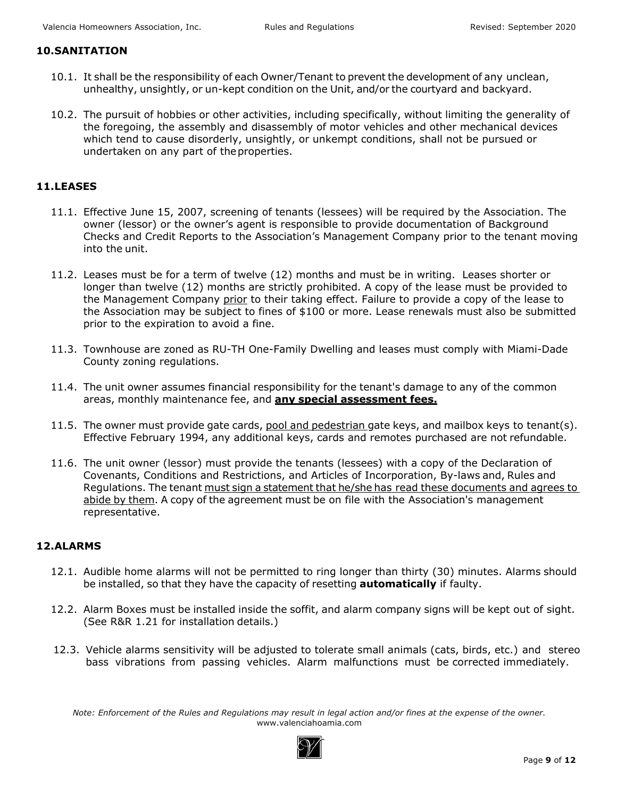#### **10.SANITATION**

- 10.1. It shall be the responsibility of each Owner/Tenant to prevent the development of any unclean, unhealthy, unsightly, or un-kept condition on the Unit, and/or the courtyard and backyard.
- 10.2. The pursuit of hobbies or other activities, including specifically, without limiting the generality of the foregoing, the assembly and disassembly of motor vehicles and other mechanical devices which tend to cause disorderly, unsightly, or unkempt conditions, shall not be pursued or undertaken on any part of the properties.

# **11.LEASES**

- 11.1. Effective June 15, 2007, screening of tenants (lessees) will be required by the Association. The owner (lessor) or the owner's agent is responsible to provide documentation of Background Checks and Credit Reports to the Association's Management Company prior to the tenant moving into the unit.
- 11.2. Leases must be for a term of twelve (12) months and must be in writing. Leases shorter or longer than twelve (12) months are strictly prohibited. A copy of the lease must be provided to the Management Company prior to their taking effect. Failure to provide a copy of the lease to the Association may be subject to fines of \$100 or more. Lease renewals must also be submitted prior to the expiration to avoid a fine.
- 11.3. Townhouse are zoned as RU-TH One-Family Dwelling and leases must comply with Miami-Dade County zoning regulations.
- 11.4. The unit owner assumes financial responsibility for the tenant's damage to any of the common areas, monthly maintenance fee, and **any special assessment fees.**
- 11.5. The owner must provide gate cards, pool and pedestrian gate keys, and mailbox keys to tenant(s). Effective February 1994, any additional keys, cards and remotes purchased are not refundable.
- 11.6. The unit owner (lessor) must provide the tenants (lessees) with a copy of the Declaration of Covenants, Conditions and Restrictions, and Articles of Incorporation, By-laws and, Rules and Regulations. The tenant must sign a statement that he/she has read these documents and agrees to abide by them. A copy of the agreement must be on file with the Association's management representative.

# **12.ALARMS**

- 12.1. Audible home alarms will not be permitted to ring longer than thirty (30) minutes. Alarms should be installed, so that they have the capacity of resetting **automatically** if faulty.
- 12.2. Alarm Boxes must be installed inside the soffit, and alarm company signs will be kept out of sight. (See R&R 1.21 for installation details.)
- 12.3. Vehicle alarms sensitivity will be adjusted to tolerate small animals (cats, birds, etc.) and stereo bass vibrations from passing vehicles. Alarm malfunctions must be corrected immediately.

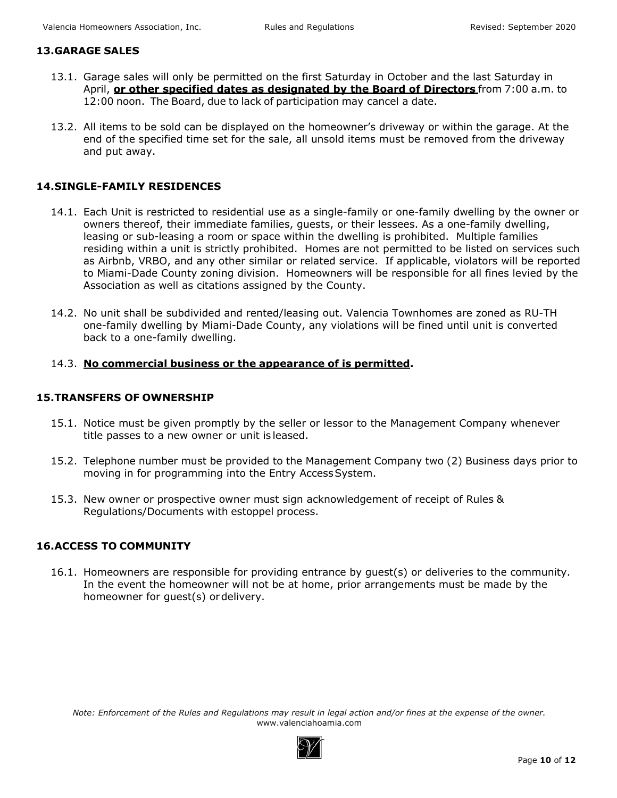#### **13.GARAGE SALES**

- 13.1. Garage sales will only be permitted on the first Saturday in October and the last Saturday in April, **or other specified dates as designated by the Board of Directors** from 7:00 a.m. to 12:00 noon. The Board, due to lack of participation may cancel a date.
- 13.2. All items to be sold can be displayed on the homeowner's driveway or within the garage. At the end of the specified time set for the sale, all unsold items must be removed from the driveway and put away.

# **14.SINGLE-FAMILY RESIDENCES**

- 14.1. Each Unit is restricted to residential use as a single-family or one-family dwelling by the owner or owners thereof, their immediate families, guests, or their lessees. As a one-family dwelling, leasing or sub-leasing a room or space within the dwelling is prohibited. Multiple families residing within a unit is strictly prohibited. Homes are not permitted to be listed on services such as Airbnb, VRBO, and any other similar or related service. If applicable, violators will be reported to Miami-Dade County zoning division. Homeowners will be responsible for all fines levied by the Association as well as citations assigned by the County.
- 14.2. No unit shall be subdivided and rented/leasing out. Valencia Townhomes are zoned as RU-TH one-family dwelling by Miami-Dade County, any violations will be fined until unit is converted back to a one-family dwelling.

# 14.3. **No commercial business or the appearance of is permitted.**

#### **15.TRANSFERS OF OWNERSHIP**

- 15.1. Notice must be given promptly by the seller or lessor to the Management Company whenever title passes to a new owner or unit is leased.
- 15.2. Telephone number must be provided to the Management Company two (2) Business days prior to moving in for programming into the Entry Access System.
- 15.3. New owner or prospective owner must sign acknowledgement of receipt of Rules & Regulations/Documents with estoppel process.

# **16.ACCESS TO COMMUNITY**

16.1. Homeowners are responsible for providing entrance by guest(s) or deliveries to the community. In the event the homeowner will not be at home, prior arrangements must be made by the homeowner for guest(s) or delivery.

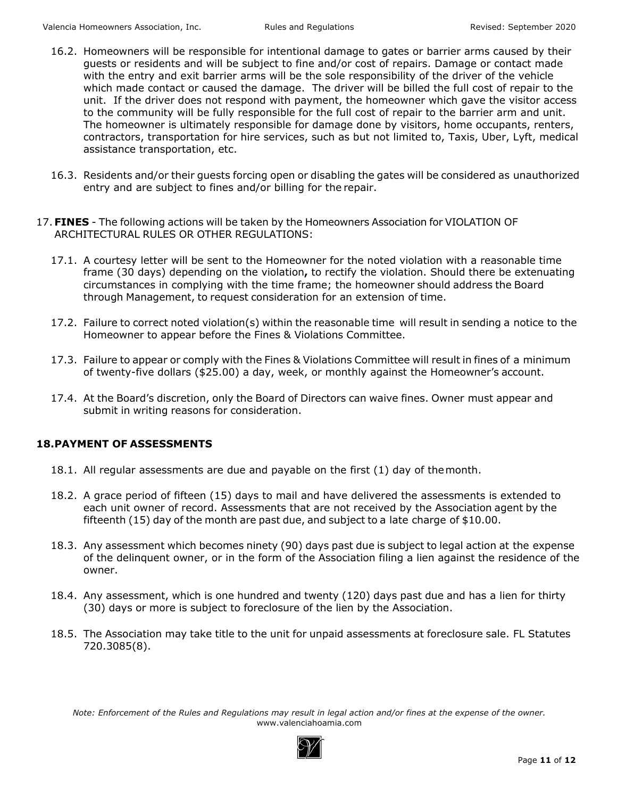- 16.2. Homeowners will be responsible for intentional damage to gates or barrier arms caused by their guests or residents and will be subject to fine and/or cost of repairs. Damage or contact made with the entry and exit barrier arms will be the sole responsibility of the driver of the vehicle which made contact or caused the damage. The driver will be billed the full cost of repair to the unit. If the driver does not respond with payment, the homeowner which gave the visitor access to the community will be fully responsible for the full cost of repair to the barrier arm and unit. The homeowner is ultimately responsible for damage done by visitors, home occupants, renters, contractors, transportation for hire services, such as but not limited to, Taxis, Uber, Lyft, medical assistance transportation, etc.
- 16.3. Residents and/or their guests forcing open or disabling the gates will be considered as unauthorized entry and are subject to fines and/or billing for the repair.
- 17.**FINES** The following actions will be taken by the Homeowners Association for VIOLATION OF ARCHITECTURAL RULES OR OTHER REGULATIONS:
	- 17.1. A courtesy letter will be sent to the Homeowner for the noted violation with a reasonable time frame (30 days) depending on the violation**,** to rectify the violation. Should there be extenuating circumstances in complying with the time frame; the homeowner should address the Board through Management, to request consideration for an extension of time.
	- 17.2. Failure to correct noted violation(s) within the reasonable time will result in sending a notice to the Homeowner to appear before the Fines & Violations Committee.
	- 17.3. Failure to appear or comply with the Fines & Violations Committee will result in fines of a minimum of twenty-five dollars (\$25.00) a day, week, or monthly against the Homeowner's account.
	- 17.4. At the Board's discretion, only the Board of Directors can waive fines. Owner must appear and submit in writing reasons for consideration.

# **18.PAYMENT OF ASSESSMENTS**

- 18.1. All regular assessments are due and payable on the first (1) day of the month.
- 18.2. A grace period of fifteen (15) days to mail and have delivered the assessments is extended to each unit owner of record. Assessments that are not received by the Association agent by the fifteenth (15) day of the month are past due, and subject to a late charge of \$10.00.
- 18.3. Any assessment which becomes ninety (90) days past due is subject to legal action at the expense of the delinquent owner, or in the form of the Association filing a lien against the residence of the owner.
- 18.4. Any assessment, which is one hundred and twenty (120) days past due and has a lien for thirty (30) days or more is subject to foreclosure of the lien by the Association.
- 18.5. The Association may take title to the unit for unpaid assessments at foreclosure sale. FL Statutes 720.3085(8).